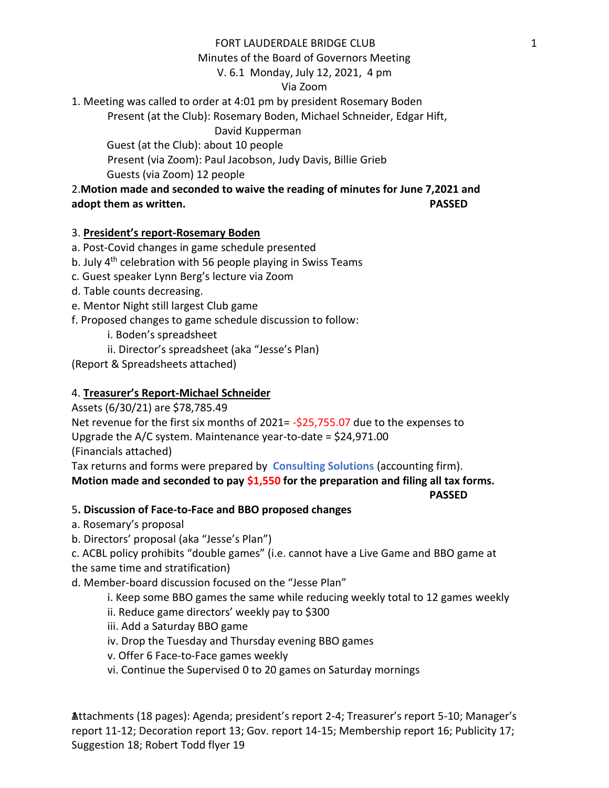## FORT LAUDERDALE BRIDGE CLUB

Minutes of the Board of Governors Meeting

V. 6.1 Monday, July 12, 2021, 4 pm

### Via Zoom

1. Meeting was called to order at 4:01 pm by president Rosemary Boden

Present (at the Club): Rosemary Boden, Michael Schneider, Edgar Hift,

David Kupperman

Guest (at the Club): about 10 people

Present (via Zoom): Paul Jacobson, Judy Davis, Billie Grieb

Guests (via Zoom) 12 people

# 2.**Motion made and seconded to waive the reading of minutes for June 7,2021 and adopt them as written. PASSED**

# 3. **President's report-Rosemary Boden**

# a. Post-Covid changes in game schedule presented

- b. July  $4<sup>th</sup>$  celebration with 56 people playing in Swiss Teams
- c. Guest speaker Lynn Berg's lecture via Zoom
- d. Table counts decreasing.
- e. Mentor Night still largest Club game
- f. Proposed changes to game schedule discussion to follow:
	- i. Boden's spreadsheet
	- ii. Director's spreadsheet (aka "Jesse's Plan)

(Report & Spreadsheets attached)

# 4. **Treasurer's Report-Michael Schneider**

Assets (6/30/21) are \$78,785.49

Net revenue for the first six months of 2021= -\$25,755.07 due to the expenses to Upgrade the A/C system. Maintenance year-to-date = \$24,971.00 (Financials attached)

Tax returns and forms were prepared by **Consulting Solutions** (accounting firm).

# **Motion made and seconded to pay \$1,550 for the preparation and filing all tax forms.**

 **PASSED**

# 5**. Discussion of Face-to-Face and BBO proposed changes**

a. Rosemary's proposal

b. Directors' proposal (aka "Jesse's Plan")

c. ACBL policy prohibits "double games" (i.e. cannot have a Live Game and BBO game at the same time and stratification)

d. Member-board discussion focused on the "Jesse Plan"

i. Keep some BBO games the same while reducing weekly total to 12 games weekly

- ii. Reduce game directors' weekly pay to \$300
- iii. Add a Saturday BBO game
- iv. Drop the Tuesday and Thursday evening BBO games
- v. Offer 6 Face-to-Face games weekly
- vi. Continue the Supervised 0 to 20 games on Saturday mornings

Attachments (18 pages): Agenda; president's report 2-4; Treasurer's report 5-10; Manager's 1 report 11-12; Decoration report 13; Gov. report 14-15; Membership report 16; Publicity 17; Suggestion 18; Robert Todd flyer 19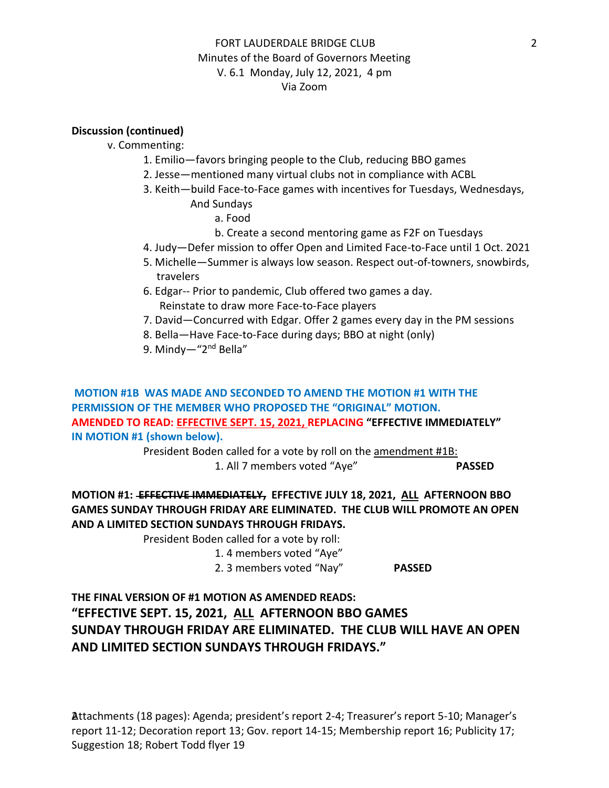# FORT LAUDERDALE BRIDGE CLUB Minutes of the Board of Governors Meeting V. 6.1 Monday, July 12, 2021, 4 pm Via Zoom

#### **Discussion (continued)**

v. Commenting:

- 1. Emilio—favors bringing people to the Club, reducing BBO games
- 2. Jesse—mentioned many virtual clubs not in compliance with ACBL
- 3. Keith—build Face-to-Face games with incentives for Tuesdays, Wednesdays, And Sundays
	- a. Food
		-
	- b. Create a second mentoring game as F2F on Tuesdays
- 4. Judy—Defer mission to offer Open and Limited Face-to-Face until 1 Oct. 2021
- 5. Michelle—Summer is always low season. Respect out-of-towners, snowbirds, travelers
- 6. Edgar-- Prior to pandemic, Club offered two games a day. Reinstate to draw more Face-to-Face players
- 7. David—Concurred with Edgar. Offer 2 games every day in the PM sessions
- 8. Bella—Have Face-to-Face during days; BBO at night (only)
- 9. Mindy-"2<sup>nd</sup> Bella"

**MOTION #1B WAS MADE AND SECONDED TO AMEND THE MOTION #1 WITH THE PERMISSION OF THE MEMBER WHO PROPOSED THE "ORIGINAL" MOTION. AMENDED TO READ: EFFECTIVE SEPT. 15, 2021, REPLACING "EFFECTIVE IMMEDIATELY" IN MOTION #1 (shown below).** 

> President Boden called for a vote by roll on the amendment #1B: 1. All 7 members voted "Aye" **PASSED**

# **MOTION #1: EFFECTIVE IMMEDIATELY, EFFECTIVE JULY 18, 2021, ALL AFTERNOON BBO GAMES SUNDAY THROUGH FRIDAY ARE ELIMINATED. THE CLUB WILL PROMOTE AN OPEN AND A LIMITED SECTION SUNDAYS THROUGH FRIDAYS.**

President Boden called for a vote by roll:

1. 4 members voted "Aye"

2. 3 members voted "Nay" **PASSED**

**THE FINAL VERSION OF #1 MOTION AS AMENDED READS: "EFFECTIVE SEPT. 15, 2021, ALL AFTERNOON BBO GAMES SUNDAY THROUGH FRIDAY ARE ELIMINATED. THE CLUB WILL HAVE AN OPEN AND LIMITED SECTION SUNDAYS THROUGH FRIDAYS."**

Attachments (18 pages): Agenda; president's report 2-4; Treasurer's report 5-10; Manager's 2 report 11-12; Decoration report 13; Gov. report 14-15; Membership report 16; Publicity 17; Suggestion 18; Robert Todd flyer 19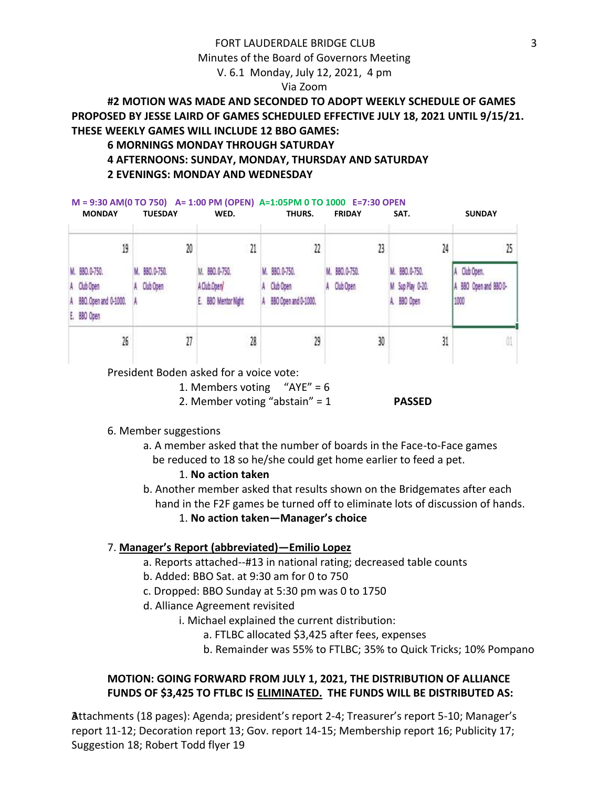#### FORT LAUDERDALE BRIDGE CLUB

Minutes of the Board of Governors Meeting

V. 6.1 Monday, July 12, 2021, 4 pm

#### Via Zoom

# **#2 MOTION WAS MADE AND SECONDED TO ADOPT WEEKLY SCHEDULE OF GAMES PROPOSED BY JESSE LAIRD OF GAMES SCHEDULED EFFECTIVE JULY 18, 2021 UNTIL 9/15/21. THESE WEEKLY GAMES WILL INCLUDE 12 BBO GAMES:**

### **6 MORNINGS MONDAY THROUGH SATURDAY**

**M = 9:30 AM(0 TO 750) A= 1:00 PM (OPEN) A=1:05PM 0 TO 1000 E=7:30 OPEN** 

#### **4 AFTERNOONS: SUNDAY, MONDAY, THURSDAY AND SATURDAY 2 EVENINGS: MONDAY AND WEDNESDAY**

| <b>MONDAY</b>                                                          | <b>TUESDAY</b>          | WED.                                                |    | THURS.                                              | <b>FRIDAY</b>              | SAT.                                            | <b>SUNDAY</b>                              |
|------------------------------------------------------------------------|-------------------------|-----------------------------------------------------|----|-----------------------------------------------------|----------------------------|-------------------------------------------------|--------------------------------------------|
| 19                                                                     | 20                      | 21                                                  | 22 |                                                     | 23                         | 24                                              | 25                                         |
| M. 880.0-750.<br>A Club Open<br>A 880. Open and 0-1000.<br>E. 880 Open | 890.0-750.<br>Club Open | M. 880.0-750.<br>A Club Open<br>E. 880 Mentor Night |    | M. 880.0-750.<br>Club Open:<br>BBO Open and 0-1000. | M. 880.0-750.<br>Club Open | M. 880.0-750.<br>M Sup Play 0-20.<br>A 880 Open | Club Open.<br>A 880 Open and 8800-<br>1000 |
| 26                                                                     | 27                      | 28                                                  |    | 29                                                  | 30                         | 31                                              |                                            |

President Boden asked for a voice vote:

1. Members voting  $H = 6$ 

- 2. Member voting "abstain" = 1 **PASSED**
- 6. Member suggestions
	- a. A member asked that the number of boards in the Face-to-Face games be reduced to 18 so he/she could get home earlier to feed a pet.

#### 1. **No action taken**

- b. Another member asked that results shown on the Bridgemates after each hand in the F2F games be turned off to eliminate lots of discussion of hands.
	- 1. **No action taken—Manager's choice**

#### 7. **Manager's Report (abbreviated)—Emilio Lopez**

- a. Reports attached--#13 in national rating; decreased table counts
- b. Added: BBO Sat. at 9:30 am for 0 to 750
- c. Dropped: BBO Sunday at 5:30 pm was 0 to 1750
- d. Alliance Agreement revisited
	- i. Michael explained the current distribution:
		- a. FTLBC allocated \$3,425 after fees, expenses
		- b. Remainder was 55% to FTLBC; 35% to Quick Tricks; 10% Pompano

## **MOTION: GOING FORWARD FROM JULY 1, 2021, THE DISTRIBUTION OF ALLIANCE FUNDS OF \$3,425 TO FTLBC IS ELIMINATED. THE FUNDS WILL BE DISTRIBUTED AS:**

Attachments (18 pages): Agenda; president's report 2-4; Treasurer's report 5-10; Manager's 3 report 11-12; Decoration report 13; Gov. report 14-15; Membership report 16; Publicity 17; Suggestion 18; Robert Todd flyer 19